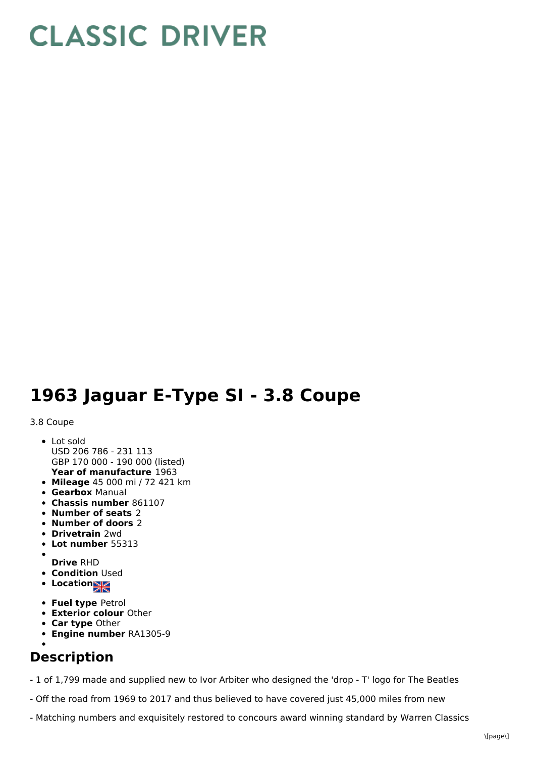## **CLASSIC DRIVER**

## **1963 Jaguar E-Type SI - 3.8 Coupe**

## 3.8 Coupe

- **Year of manufacture** 1963 • Lot sold USD 206 786 - 231 113 GBP 170 000 - 190 000 (listed)
- **Mileage** 45 000 mi / 72 421 km
- **Gearbox** Manual
- **Chassis number** 861107
- **Number of seats** 2
- **Number of doors** 2
- **Drivetrain** 2wd
- **Lot number** 55313
- **Drive** RHD
- **Condition Used**
- **Locations**
- **Fuel type** Petrol
- **Exterior colour** Other
- **Car type** Other
- **Engine number** RA1305-9

## **Description**

- 1 of 1,799 made and supplied new to Ivor Arbiter who designed the 'drop - T' logo for The Beatles

- Off the road from 1969 to 2017 and thus believed to have covered just 45,000 miles from new
- Matching numbers and exquisitely restored to concours award winning standard by Warren Classics